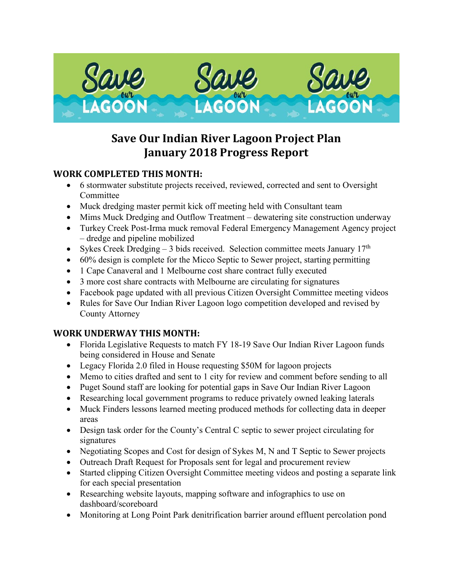

# **Save Our Indian River Lagoon Project Plan January 2018 Progress Report**

## **WORK COMPLETED THIS MONTH:**

- 6 stormwater substitute projects received, reviewed, corrected and sent to Oversight Committee
- Muck dredging master permit kick off meeting held with Consultant team
- Mims Muck Dredging and Outflow Treatment dewatering site construction underway
- Turkey Creek Post-Irma muck removal Federal Emergency Management Agency project – dredge and pipeline mobilized
- Sykes Creek Dredging 3 bids received. Selection committee meets January  $17<sup>th</sup>$
- 60% design is complete for the Micco Septic to Sewer project, starting permitting
- 1 Cape Canaveral and 1 Melbourne cost share contract fully executed
- 3 more cost share contracts with Melbourne are circulating for signatures
- Facebook page updated with all previous Citizen Oversight Committee meeting videos
- Rules for Save Our Indian River Lagoon logo competition developed and revised by County Attorney

# **WORK UNDERWAY THIS MONTH:**

- Florida Legislative Requests to match FY 18-19 Save Our Indian River Lagoon funds being considered in House and Senate
- Legacy Florida 2.0 filed in House requesting \$50M for lagoon projects
- Memo to cities drafted and sent to 1 city for review and comment before sending to all
- Puget Sound staff are looking for potential gaps in Save Our Indian River Lagoon
- Researching local government programs to reduce privately owned leaking laterals
- Muck Finders lessons learned meeting produced methods for collecting data in deeper areas
- Design task order for the County's Central C septic to sewer project circulating for signatures
- Negotiating Scopes and Cost for design of Sykes M, N and T Septic to Sewer projects
- Outreach Draft Request for Proposals sent for legal and procurement review
- Started clipping Citizen Oversight Committee meeting videos and posting a separate link for each special presentation
- Researching website layouts, mapping software and infographics to use on dashboard/scoreboard
- Monitoring at Long Point Park denitrification barrier around effluent percolation pond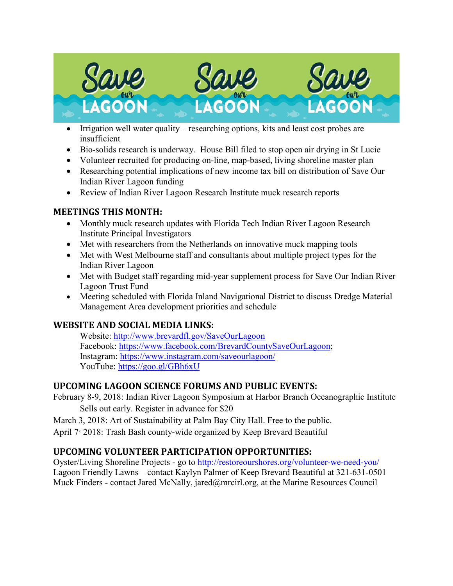

- Irrigation well water quality researching options, kits and least cost probes are insufficient
- Bio-solids research is underway. House Bill filed to stop open air drying in St Lucie
- Volunteer recruited for producing on-line, map-based, living shoreline master plan
- Researching potential implications of new income tax bill on distribution of Save Our Indian River Lagoon funding
- Review of Indian River Lagoon Research Institute muck research reports

#### **MEETINGS THIS MONTH:**

- Monthly muck research updates with Florida Tech Indian River Lagoon Research Institute Principal Investigators
- Met with researchers from the Netherlands on innovative muck mapping tools
- Met with West Melbourne staff and consultants about multiple project types for the Indian River Lagoon
- Met with Budget staff regarding mid-year supplement process for Save Our Indian River Lagoon Trust Fund
- Meeting scheduled with Florida Inland Navigational District to discuss Dredge Material Management Area development priorities and schedule

## **WEBSITE AND SOCIAL MEDIA LINKS:**

Website:<http://www.brevardfl.gov/SaveOurLagoon> Facebook: [https://www.facebook.com/BrevardCountySaveOurLagoon;](https://www.facebook.com/BrevardCountySaveOurLagoon) Instagram:<https://www.instagram.com/saveourlagoon/> YouTube:<https://goo.gl/GBh6xU>

## **UPCOMING LAGOON SCIENCE FORUMS AND PUBLIC EVENTS:**

February 8-9, 2018: Indian River Lagoon Symposium at Harbor Branch Oceanographic Institute Sells out early. Register in advance for \$20

March 3, 2018: Art of Sustainability at Palm Bay City Hall. Free to the public.

April 7<sup>,</sup> 2018: Trash Bash county-wide organized by Keep Brevard Beautiful

#### **UPCOMING VOLUNTEER PARTICIPATION OPPORTUNITIES:**

Oyster/Living Shoreline Projects - go to<http://restoreourshores.org/volunteer-we-need-you/> Lagoon Friendly Lawns – contact Kaylyn Palmer of Keep Brevard Beautiful at 321-631-0501 Muck Finders - contact Jared McNally, jared@mrcirl.org, at the Marine Resources Council